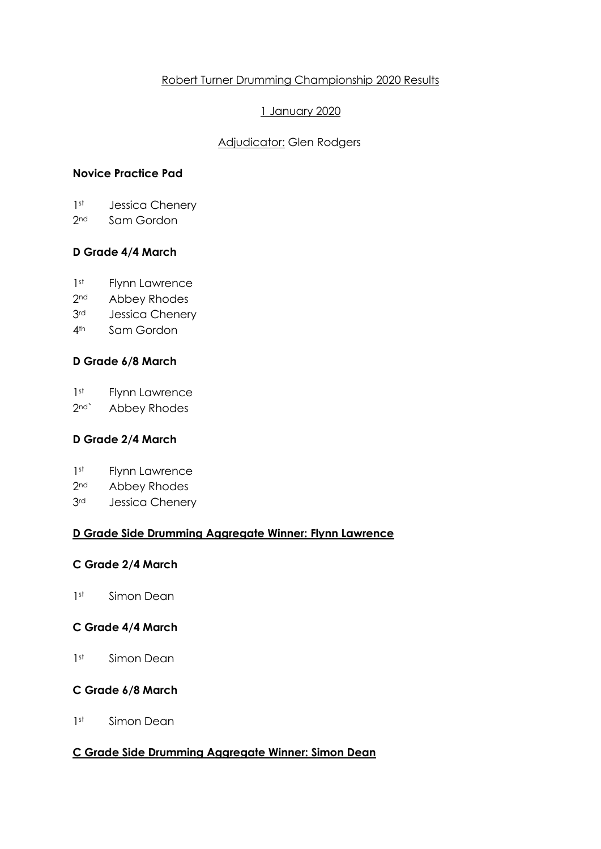# Robert Turner Drumming Championship 2020 Results

# 1 January 2020

# **Adjudicator: Glen Rodgers**

# **Novice Practice Pad**

- 1<sup>st</sup> Jessica Chenery
- 2<sup>nd</sup> Sam Gordon

# **D Grade 4/4 March**

- 1<sup>st</sup> Flynn Lawrence
- 2<sup>nd</sup> Abbey Rhodes
- 3<sup>rd</sup> Jessica Chenery
- 4th Sam Gordon

# **D Grade 6/8 March**

1<sup>st</sup> Flynn Lawrence

2<sup>nd</sup>` Abbey Rhodes

# **D Grade 2/4 March**

- 1<sup>st</sup> Flynn Lawrence
- 2<sup>nd</sup> Abbey Rhodes
- 3rd Jessica Chenery

## **D Grade Side Drumming Aggregate Winner: Flynn Lawrence**

## **C Grade 2/4 March**

1<sup>st</sup> Simon Dean

## **C Grade 4/4 March**

1<sup>st</sup> Simon Dean

## **C Grade 6/8 March**

1<sup>st</sup> Simon Dean

## **C Grade Side Drumming Aggregate Winner: Simon Dean**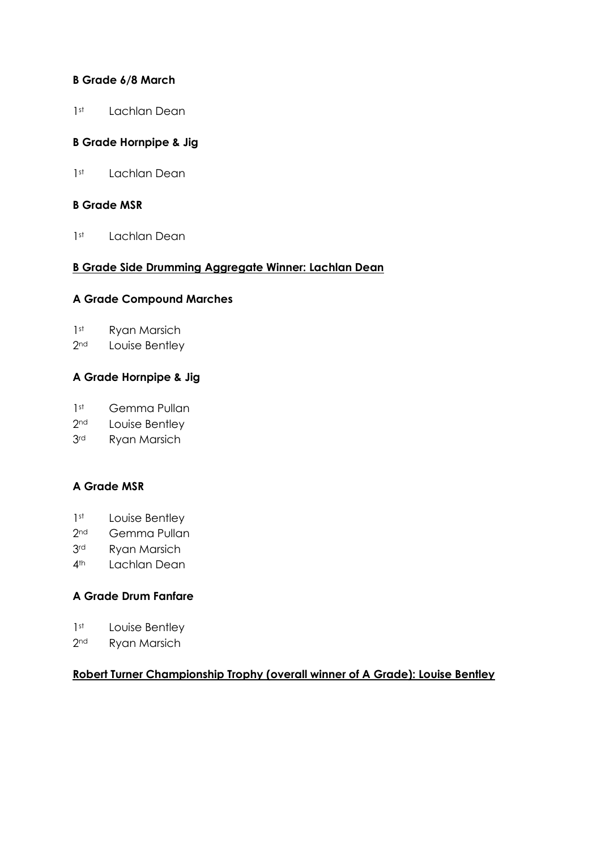## **B Grade 6/8 March**

1<sup>st</sup> Lachlan Dean

# **B Grade Hornpipe & Jig**

1<sup>st</sup> Lachlan Dean

#### **B Grade MSR**

1<sup>st</sup> Lachlan Dean

#### **B Grade Side Drumming Aggregate Winner: Lachlan Dean**

#### **A Grade Compound Marches**

- 1<sup>st</sup> Ryan Marsich
- 2<sup>nd</sup> Louise Bentley

## **A Grade Hornpipe & Jig**

- 1<sup>st</sup> Gemma Pullan
- 2<sup>nd</sup> Louise Bentley
- 3rd Ryan Marsich

## **A Grade MSR**

- 1<sup>st</sup> Louise Bentley
- 2<sup>nd</sup> Gemma Pullan
- 3rd Ryan Marsich
- 4<sup>th</sup> Lachlan Dean

## **A Grade Drum Fanfare**

- 1<sup>st</sup> Louise Bentley
- 2<sup>nd</sup> Ryan Marsich

#### **Robert Turner Championship Trophy (overall winner of A Grade): Louise Bentley**